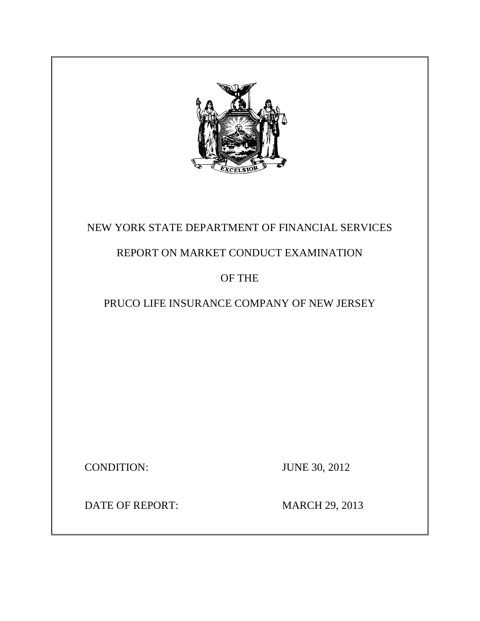

# NEW YORK STATE DEPARTMENT OF FINANCIAL SERVICES

# REPORT ON MARKET CONDUCT EXAMINATION

# OF THE

# PRUCO LIFE INSURANCE COMPANY OF NEW JERSEY

**CONDITION:** 

JUNE 30, 2012

DATE OF REPORT: MARCH 29, 2013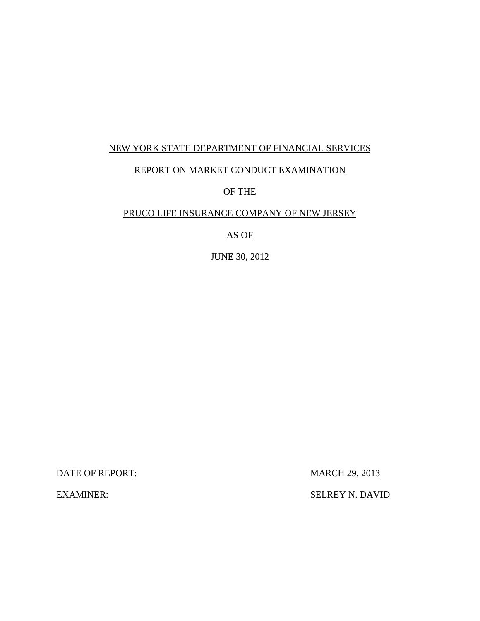# NEW YORK STATE DEPARTMENT OF FINANCIAL SERVICES

# REPORT ON MARKET CONDUCT EXAMINATION

# OF THE

# PRUCO LIFE INSURANCE COMPANY OF NEW JERSEY

# AS OF

# JUNE 30, 2012

DATE OF REPORT: MARCH 29, 2013

**SELREY N. DAVID** 

**EXAMINER:**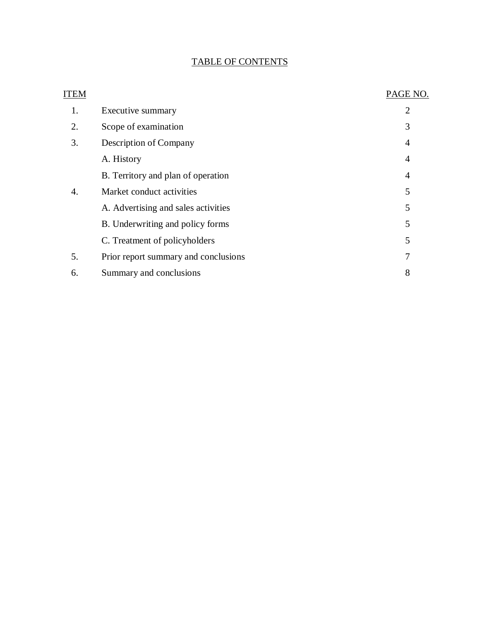### TABLE OF CONTENTS

| ITEM |                                      | PAGE NO.       |
|------|--------------------------------------|----------------|
| 1.   | Executive summary                    | 2              |
| 2.   | Scope of examination                 | 3              |
| 3.   | Description of Company               | 4              |
|      | A. History                           | 4              |
|      | B. Territory and plan of operation   | $\overline{4}$ |
| 4.   | Market conduct activities            | 5              |
|      | A. Advertising and sales activities  | 5              |
|      | B. Underwriting and policy forms     | 5              |
|      | C. Treatment of policyholders        | 5              |
| 5.   | Prior report summary and conclusions | 7              |
| 6.   | Summary and conclusions              | 8              |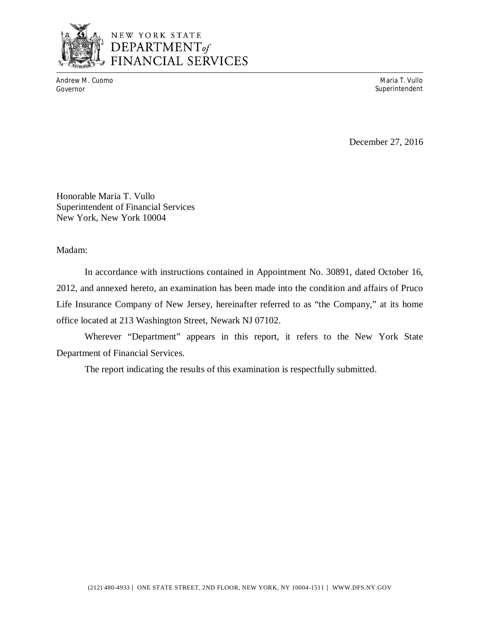

# NEW YORK STATE DEPARTMENT<sub>of</sub> FINANCIAL SERVICES

Andrew M. Cuomo **Maria T. Vullo** Maria T. Vullo Maria T. Vullo Maria T. Vullo Maria T. Vullo Maria T. Vullo Maria T. Vullo Governor Superintendent Superintendent Superintendent Superintendent Superintendent Superintendent Superintendent

December 27, 2016

 Honorable Maria T. Vullo Superintendent of Financial Services New York, New York 10004

Madam:

 2012, and annexed hereto, an examination has been made into the condition and affairs of Pruco Life Insurance Company of New Jersey, hereinafter referred to as "the Company," at its home office located at 213 Washington Street, Newark NJ 07102. In accordance with instructions contained in Appointment No. 30891, dated October 16,

 Wherever "Department" appears in this report, it refers to the New York State Department of Financial Services.

The report indicating the results of this examination is respectfully submitted.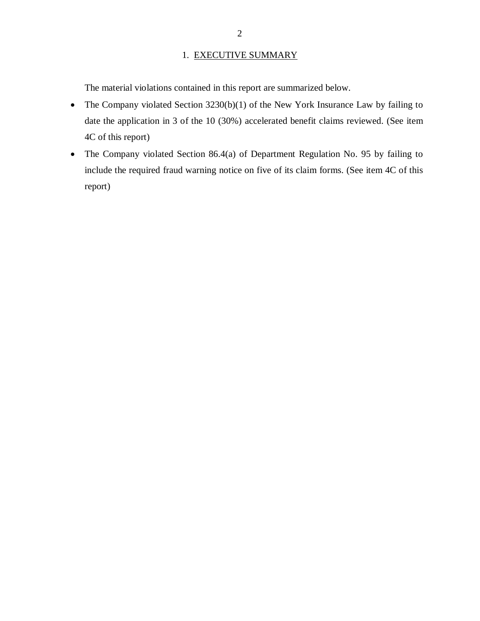#### 1. EXECUTIVE SUMMARY

<span id="page-4-0"></span>The material violations contained in this report are summarized below.

- The Company violated Section 3230(b)(1) of the New York Insurance Law by failing to date the application in 3 of the 10 (30%) accelerated benefit claims reviewed. (See item 4C of this report)
- The Company violated Section 86.4(a) of Department Regulation No. 95 by failing to include the required fraud warning notice on five of its claim forms. (See item 4C of this report)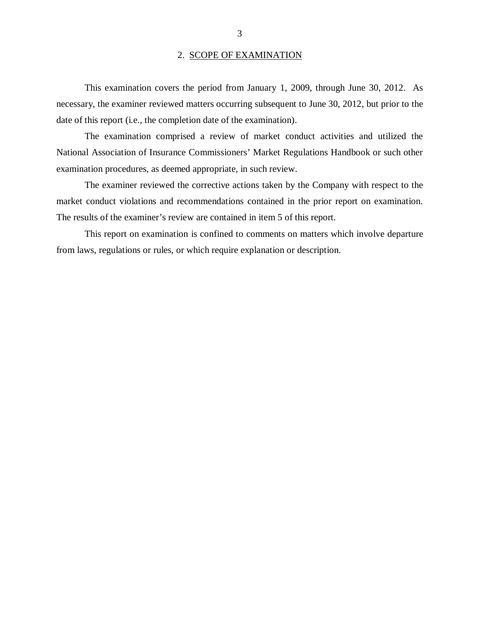#### 2. SCOPE OF EXAMINATION

<span id="page-5-0"></span> necessary, the examiner reviewed matters occurring subsequent to June 30, 2012, but prior to the date of this report (i.e., the completion date of the examination). This examination covers the period from January 1, 2009, through June 30, 2012. As

 National Association of Insurance Commissioners' Market Regulations Handbook or such other examination procedures, as deemed appropriate, in such review. The examination comprised a review of market conduct activities and utilized the

 market conduct violations and recommendations contained in the prior report on examination. The results of the examiner's review are contained in item 5 of this report. The examiner reviewed the corrective actions taken by the Company with respect to the

 from laws, regulations or rules, or which require explanation or description. This report on examination is confined to comments on matters which involve departure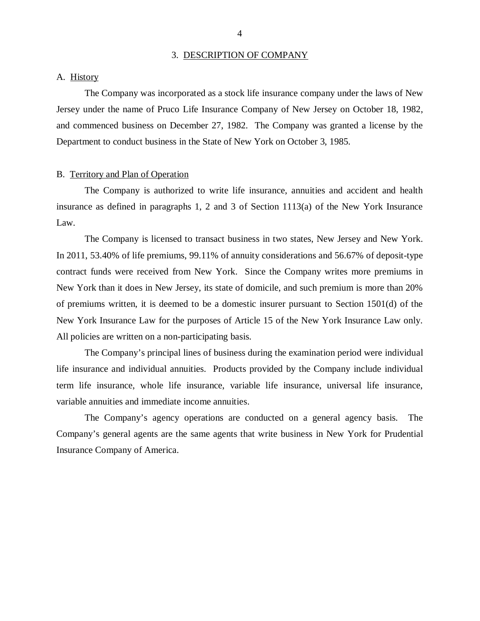#### 3. DESCRIPTION OF COMPANY

#### <span id="page-6-0"></span>A. History

 Jersey under the name of Pruco Life Insurance Company of New Jersey on October 18, 1982, and commenced business on December 27, 1982. The Company was granted a license by the Department to conduct business in the State of New York on October 3, 1985. The Company was incorporated as a stock life insurance company under the laws of New

#### B. Territory and Plan of Operation

 insurance as defined in paragraphs 1, 2 and 3 of Section 1113(a) of the New York Insurance The Company is authorized to write life insurance, annuities and accident and health Law.

 In 2011, 53.40% of life premiums, 99.11% of annuity considerations and 56.67% of deposit-type contract funds were received from New York. Since the Company writes more premiums in New York than it does in New Jersey, its state of domicile, and such premium is more than 20% of premiums written, it is deemed to be a domestic insurer pursuant to Section 1501(d) of the New York Insurance Law for the purposes of Article 15 of the New York Insurance Law only. All policies are written on a non-participating basis. The Company is licensed to transact business in two states, New Jersey and New York.

 life insurance and individual annuities. Products provided by the Company include individual term life insurance, whole life insurance, variable life insurance, universal life insurance, variable annuities and immediate income annuities. The Company's principal lines of business during the examination period were individual

 Company's general agents are the same agents that write business in New York for Prudential Insurance Company of America. The Company's agency operations are conducted on a general agency basis. The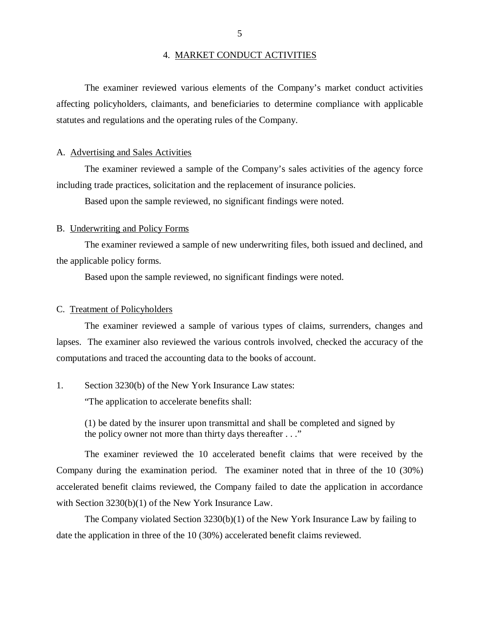#### 4. MARKET CONDUCT ACTIVITIES

<span id="page-7-0"></span> affecting policyholders, claimants, and beneficiaries to determine compliance with applicable statutes and regulations and the operating rules of the Company. The examiner reviewed various elements of the Company's market conduct activities

#### A. Advertising and Sales Activities

 including trade practices, solicitation and the replacement of insurance policies. The examiner reviewed a sample of the Company's sales activities of the agency force

Based upon the sample reviewed, no significant findings were noted.

#### B. Underwriting and Policy Forms

 the applicable policy forms. The examiner reviewed a sample of new underwriting files, both issued and declined, and

Based upon the sample reviewed, no significant findings were noted.

#### C. Treatment of Policyholders

 lapses. The examiner also reviewed the various controls involved, checked the accuracy of the computations and traced the accounting data to the books of account. The examiner reviewed a sample of various types of claims, surrenders, changes and

#### $1<sup>1</sup>$ Section 3230(b) of the New York Insurance Law states:

"The application to accelerate benefits shall:

 (1) be dated by the insurer upon transmittal and shall be completed and signed by the policy owner not more than thirty days thereafter . . ."

 The examiner reviewed the 10 accelerated benefit claims that were received by the Company during the examination period. The examiner noted that in three of the 10 (30%) accelerated benefit claims reviewed, the Company failed to date the application in accordance with Section 3230(b)(1) of the New York Insurance Law.

 The Company violated Section 3230(b)(1) of the New York Insurance Law by failing to date the application in three of the 10 (30%) accelerated benefit claims reviewed.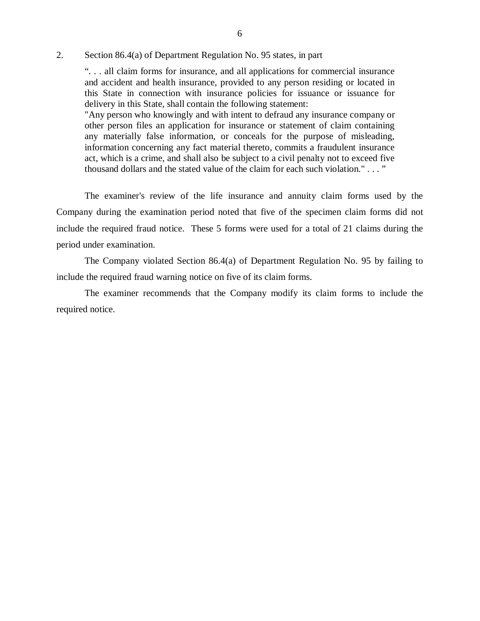$2.$ Section 86.4(a) of Department Regulation No. 95 states, in part

> ". . . all claim forms for insurance, and all applications for commercial insurance and accident and health insurance, provided to any person residing or located in this State in connection with insurance policies for issuance or issuance for delivery in this State, shall contain the following statement:

> "Any person who knowingly and with intent to defraud any insurance company or other person files an application for insurance or statement of claim containing any materially false information, or conceals for the purpose of misleading, information concerning any fact material thereto, commits a fraudulent insurance act, which is a crime, and shall also be subject to a civil penalty not to exceed five thousand dollars and the stated value of the claim for each such violation." . . . "

 The examiner's review of the life insurance and annuity claim forms used by the Company during the examination period noted that five of the specimen claim forms did not include the required fraud notice. These 5 forms were used for a total of 21 claims during the period under examination.

 The Company violated Section 86.4(a) of Department Regulation No. 95 by failing to include the required fraud warning notice on five of its claim forms.

 The examiner recommends that the Company modify its claim forms to include the required notice.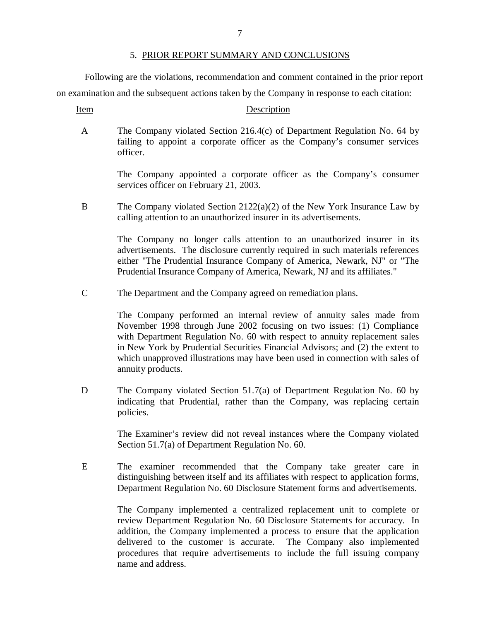### 5. PRIOR REPORT SUMMARY AND CONCLUSIONS

 Following are the violations, recommendation and comment contained in the prior report on examination and the subsequent actions taken by the Company in response to each citation:

#### Item Description

 $\mathsf{A}$  failing to appoint a corporate officer as the Company's consumer services The Company violated Section 216.4 $(c)$  of Department Regulation No. 64 by officer.

> The Company appointed a corporate officer as the Company's consumer services officer on February 21, 2003.

 $\overline{B}$  calling attention to an unauthorized insurer in its advertisements. The Company violated Section  $2122(a)(2)$  of the New York Insurance Law by

> advertisements. The disclosure currently required in such materials references either "The Prudential Insurance Company of America, Newark, NJ" or "The Prudential Insurance Company of America, Newark, NJ and its affiliates." The Company no longer calls attention to an unauthorized insurer in its

 $\overline{C}$ The Department and the Company agreed on remediation plans.

> The Company performed an internal review of annuity sales made from November 1998 through June 2002 focusing on two issues: (1) Compliance with Department Regulation No. 60 with respect to annuity replacement sales in New York by Prudential Securities Financial Advisors; and (2) the extent to which unapproved illustrations may have been used in connection with sales of annuity products.

D indicating that Prudential, rather than the Company, was replacing certain The Company violated Section 51.7(a) of Department Regulation No. 60 by policies.

> The Examiner's review did not reveal instances where the Company violated Section 51.7(a) of Department Regulation No. 60.

 $E_{\rm c}$  distinguishing between itself and its affiliates with respect to application forms, Department Regulation No. 60 Disclosure Statement forms and advertisements. The examiner recommended that the Company take greater care in

> The Company implemented a centralized replacement unit to complete or review Department Regulation No. 60 Disclosure Statements for accuracy. In addition, the Company implemented a process to ensure that the application delivered to the customer is accurate. The Company also implemented procedures that require advertisements to include the full issuing company name and address.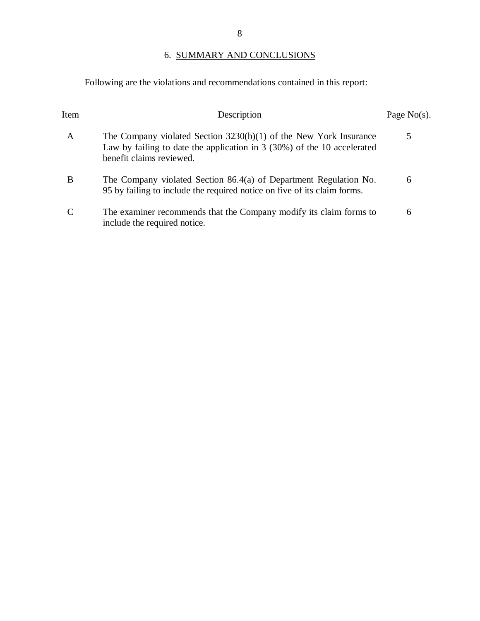#### 6. SUMMARY AND CONCLUSIONS

Following are the violations and recommendations contained in this report:

| Item | Description                                                                                                                                                                 | Page $No(s)$ . |
|------|-----------------------------------------------------------------------------------------------------------------------------------------------------------------------------|----------------|
| A    | The Company violated Section $3230(b)(1)$ of the New York Insurance<br>Law by failing to date the application in $3(30%)$ of the 10 accelerated<br>benefit claims reviewed. | 5              |
| B    | The Company violated Section 86.4(a) of Department Regulation No.<br>95 by failing to include the required notice on five of its claim forms.                               | 6              |
|      | The examiner recommends that the Company modify its claim forms to<br>include the required notice.                                                                          | 6              |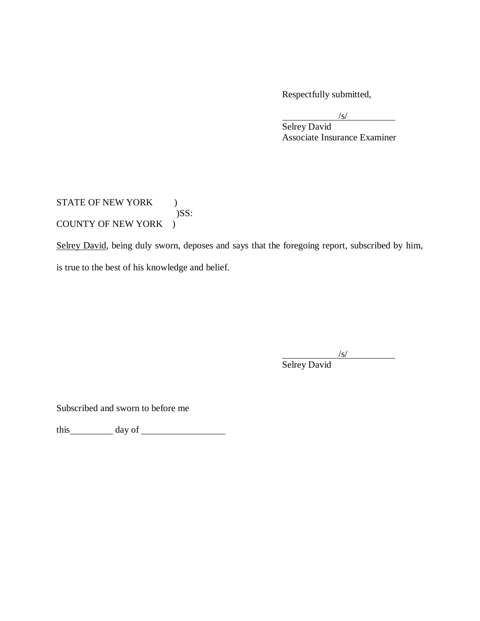Respectfully submitted,

 $\sqrt{s/2}$ 

 Associate Insurance Examiner Selrey David

# STATE OF NEW YORK ) COUNTY OF NEW YORK ) )SS:

Selrey David, being duly sworn, deposes and says that the foregoing report, subscribed by him, is true to the best of his knowledge and belief.

> /s/ Selrey David

Subscribed and sworn to before me

this day of